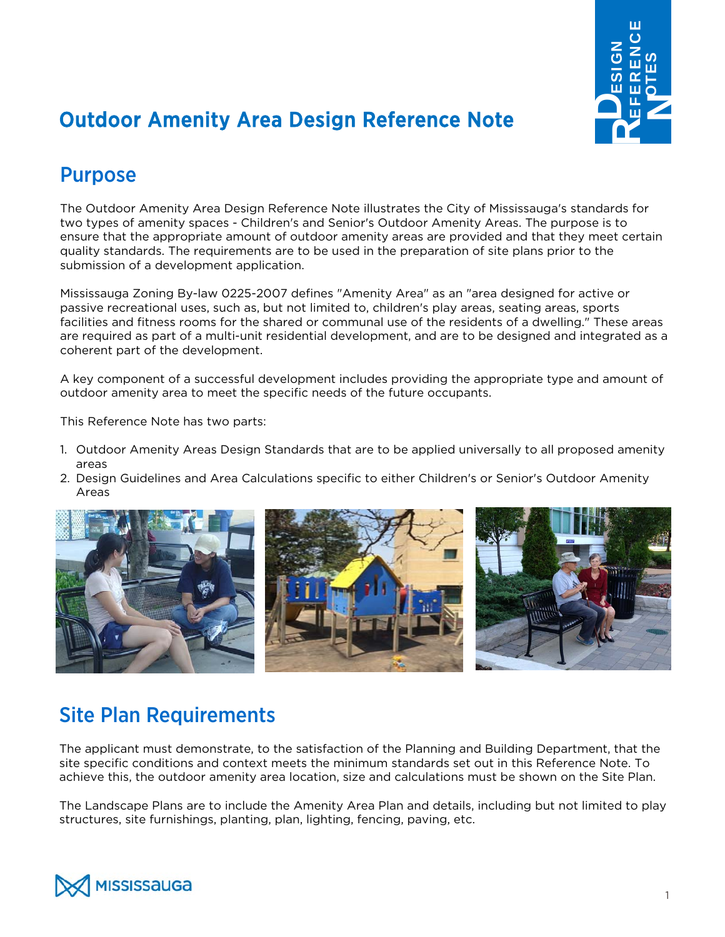

# **Outdoor Amenity Area Design Reference Note**

### Purpose

The Outdoor Amenity Area Design Reference Note illustrates the City of Mississauga's standards for two types of amenity spaces - Children's and Senior's Outdoor Amenity Areas. The purpose is to ensure that the appropriate amount of outdoor amenity areas are provided and that they meet certain quality standards. The requirements are to be used in the preparation of site plans prior to the submission of a development application.

Mississauga Zoning By-law 0225-2007 defines "Amenity Area" as an "area designed for active or passive recreational uses, such as, but not limited to, children's play areas, seating areas, sports facilities and fitness rooms for the shared or communal use of the residents of a dwelling." These areas are required as part of a multi-unit residential development, and are to be designed and integrated as a coherent part of the development.

A key component of a successful development includes providing the appropriate type and amount of outdoor amenity area to meet the specific needs of the future occupants.

This Reference Note has two parts:

- 1. Outdoor Amenity Areas Design Standards that are to be applied universally to all proposed amenity areas
- 2. Design Guidelines and Area Calculations specific to either Children's or Senior's Outdoor Amenity Areas



### Site Plan Requirements

The applicant must demonstrate, to the satisfaction of the Planning and Building Department, that the site specific conditions and context meets the minimum standards set out in this Reference Note. To achieve this, the outdoor amenity area location, size and calculations must be shown on the Site Plan.

The Landscape Plans are to include the Amenity Area Plan and details, including but not limited to play structures, site furnishings, planting, plan, lighting, fencing, paving, etc.

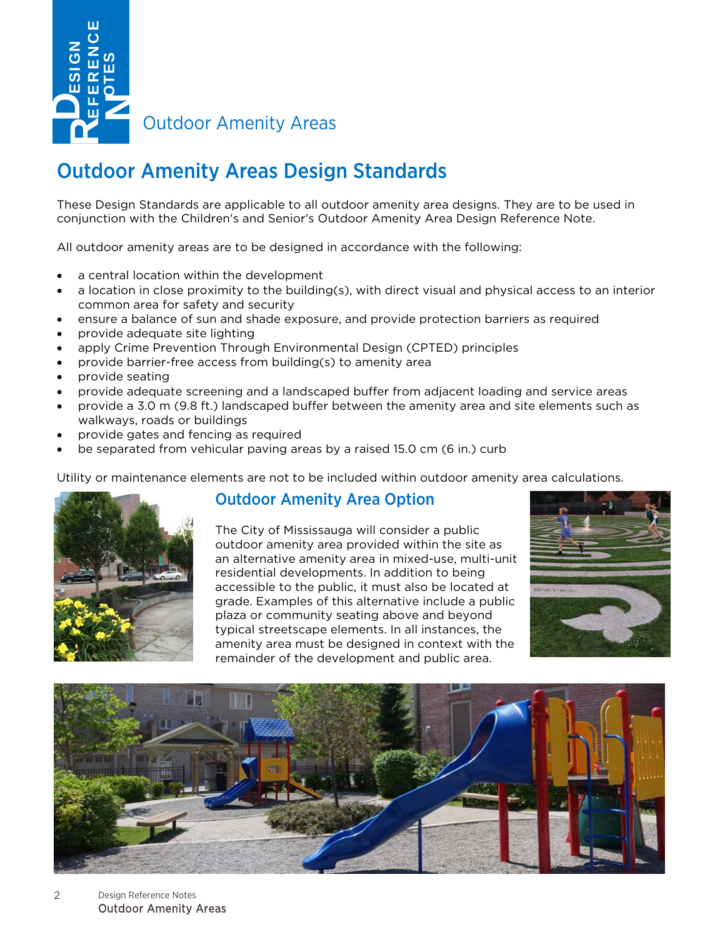

Outdoor Amenity Areas

### Outdoor Amenity Areas Design Standards

These Design Standards are applicable to all outdoor amenity area designs. They are to be used in conjunction with the Children's and Senior's Outdoor Amenity Area Design Reference Note.

All outdoor amenity areas are to be designed in accordance with the following:

- a central location within the development
- a location in close proximity to the building(s), with direct visual and physical access to an interior common area for safety and security
- ensure a balance of sun and shade exposure, and provide protection barriers as required
- provide adequate site lighting
- apply Crime Prevention Through Environmental Design (CPTED) principles
- provide barrier-free access from building(s) to amenity area
- provide seating
- provide adequate screening and a landscaped buffer from adjacent loading and service areas
- provide a 3.0 m (9.8 ft.) landscaped buffer between the amenity area and site elements such as walkways, roads or buildings
- provide gates and fencing as required
- be separated from vehicular paving areas by a raised 15.0 cm (6 in.) curb

Utility or maintenance elements are not to be included within outdoor amenity area calculations.



#### Outdoor Amenity Area Option

The City of Mississauga will consider a public outdoor amenity area provided within the site as an alternative amenity area in mixed-use, multi-unit residential developments. In addition to being accessible to the public, it must also be located at grade. Examples of this alternative include a public plaza or community seating above and beyond typical streetscape elements. In all instances, the amenity area must be designed in context with the remainder of the development and public area.





 $\mathfrak{D}$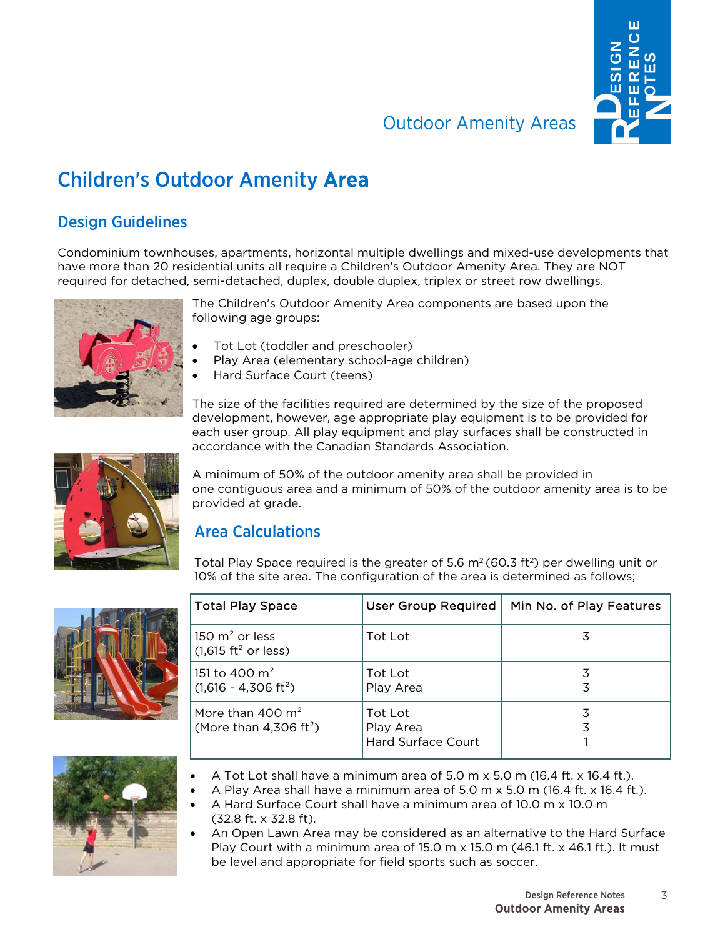

### **Outdoor Amenity Areas**

## Children's Outdoor Amenity Area

#### Design Guidelines

Condominium townhouses, apartments, horizontal multiple dwellings and mixed-use developments that have more than 20 residential units all require a Children's Outdoor Amenity Area. They are NOT required for detached, semi-detached, duplex, double duplex, triplex or street row dwellings.



The Children's Outdoor Amenity Area components are based upon the following age groups:

- Tot Lot (toddler and preschooler)
- Play Area (elementary school-age children)
- Hard Surface Court (teens)

The size of the facilities required are determined by the size of the proposed development, however, age appropriate play equipment is to be provided for each user group. All play equipment and play surfaces shall be constructed in accordance with the Canadian Standards Association.

A minimum of 50% of the outdoor amenity area shall be provided in one contiguous area and a minimum of 50% of the outdoor amenity area is to be provided at grade.

#### Area Calculations

Total Play Space required is the greater of 5.6  $m^2$  (60.3 ft<sup>2</sup>) per dwelling unit or 10% of the site area. The configuration of the area is determined as follows;







 A Hard Surface Court shall have a minimum area of 10.0 m x 10.0 m (32.8 ft. x 32.8 ft).

 An Open Lawn Area may be considered as an alternative to the Hard Surface Play Court with a minimum area of 15.0 m  $\times$  15.0 m (46.1 ft.  $\times$  46.1 ft.). It must be level and appropriate for field sports such as soccer.